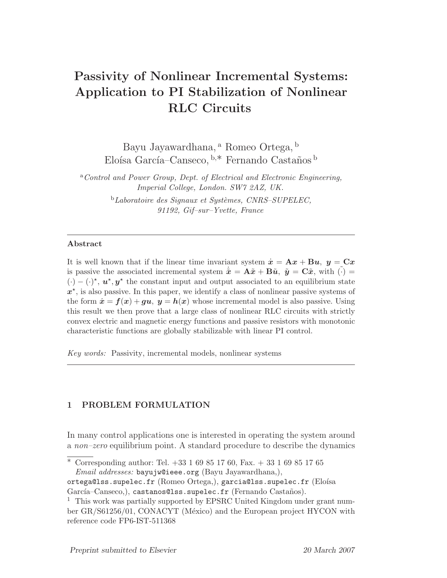# Passivity of Nonlinear Incremental Systems: Application to PI Stabilization of Nonlinear RLC Circuits

Bayu Jayawardhana, <sup>a</sup> Romeo Ortega, <sup>b</sup> Eloísa García–Canseco,  $b^*$  Fernando Castaños  $b$ 

<sup>a</sup>Control and Power Group, Dept. of Electrical and Electronic Engineering, Imperial College, London. SW7 2AZ, UK.

> $b$ Laboratoire des Signaux et Systèmes, CNRS–SUPELEC, 91192, Gif–sur–Yvette, France

#### Abstract

It is well known that if the linear time invariant system  $\dot{x} = \mathbf{A}x + \mathbf{B}u$ ,  $y = \mathbf{C}x$ is passive the associated incremental system  $\dot{\tilde{x}} = \mathbf{A}\tilde{x} + \mathbf{B}\tilde{u}$ ,  $\tilde{y} = \mathbf{C}\tilde{x}$ , with  $(\cdot) =$  $(\cdot) - (\cdot)^{\star}$ ,  $u^{\star}$ ,  $y^{\star}$  the constant input and output associated to an equilibrium state  $x^*$ , is also passive. In this paper, we identify a class of nonlinear passive systems of the form  $\dot{x} = f(x) + gu$ ,  $y = h(x)$  whose incremental model is also passive. Using this result we then prove that a large class of nonlinear RLC circuits with strictly convex electric and magnetic energy functions and passive resistors with monotonic characteristic functions are globally stabilizable with linear PI control.

Key words: Passivity, incremental models, nonlinear systems

## 1 PROBLEM FORMULATION

In many control applications one is interested in operating the system around a non–zero equilibrium point. A standard procedure to describe the dynamics

<sup>∗</sup> Corresponding author: Tel. +33 1 69 85 17 60, Fax. + 33 1 69 85 17 65 Email addresses: bayujw@ieee.org (Bayu Jayawardhana,),

ortega@lss.supelec.fr (Romeo Ortega,), garcia@lss.supelec.fr (Eloísa García–Canseco,), castanos@lss.supelec.fr (Fernando Castaños).

<sup>1</sup> This work was partially supported by EPSRC United Kingdom under grant number GR/S61256/01, CONACYT (México) and the European project HYCON with reference code FP6-IST-511368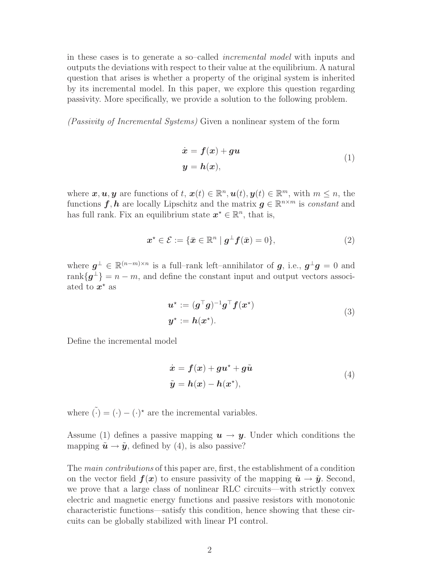in these cases is to generate a so–called incremental model with inputs and outputs the deviations with respect to their value at the equilibrium. A natural question that arises is whether a property of the original system is inherited by its incremental model. In this paper, we explore this question regarding passivity. More specifically, we provide a solution to the following problem.

(Passivity of Incremental Systems) Given a nonlinear system of the form

$$
\dot{x} = f(x) + gu
$$
  
\n
$$
y = h(x),
$$
\n(1)

where  $\mathbf{x}, \mathbf{u}, \mathbf{y}$  are functions of  $t, \mathbf{x}(t) \in \mathbb{R}^n, \mathbf{u}(t), \mathbf{y}(t) \in \mathbb{R}^m$ , with  $m \leq n$ , the functions  $f, h$  are locally Lipschitz and the matrix  $g \in \mathbb{R}^{n \times m}$  is constant and has full rank. Fix an equilibrium state  $x^* \in \mathbb{R}^n$ , that is,

$$
x^* \in \mathcal{E} := \{ \bar{x} \in \mathbb{R}^n \mid g^\perp f(\bar{x}) = 0 \},\tag{2}
$$

where  $g^{\perp} \in \mathbb{R}^{(n-m)\times n}$  is a full–rank left–annihilator of  $g$ , i.e.,  $g^{\perp}g = 0$  and rank ${g^{\perp}} = n - m$ , and define the constant input and output vectors associated to  $x^*$  as

$$
\mathbf{u}^{\star} := (\mathbf{g}^{\top}\mathbf{g})^{-1}\mathbf{g}^{\top}\mathbf{f}(\mathbf{x}^{\star})
$$
  

$$
\mathbf{y}^{\star} := \mathbf{h}(\mathbf{x}^{\star}).
$$
 (3)

Define the incremental model

$$
\begin{aligned}\n\dot{x} &= f(x) + gu^* + g\tilde{u} \\
\tilde{y} &= h(x) - h(x^*),\n\end{aligned} \tag{4}
$$

where  $\tilde{(\cdot)} = (\cdot) - (\cdot)^*$  are the incremental variables.

Assume (1) defines a passive mapping  $u \to y$ . Under which conditions the mapping  $\tilde{u} \rightarrow \tilde{y}$ , defined by (4), is also passive?

The main contributions of this paper are, first, the establishment of a condition on the vector field  $f(x)$  to ensure passivity of the mapping  $\tilde{u} \rightarrow \tilde{y}$ . Second, we prove that a large class of nonlinear RLC circuits—with strictly convex electric and magnetic energy functions and passive resistors with monotonic characteristic functions—satisfy this condition, hence showing that these circuits can be globally stabilized with linear PI control.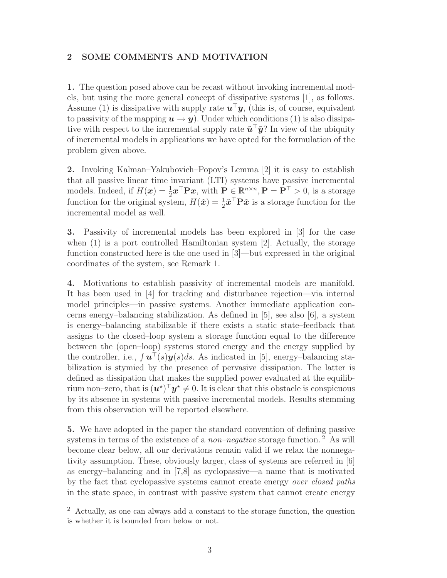### 2 SOME COMMENTS AND MOTIVATION

1. The question posed above can be recast without invoking incremental models, but using the more general concept of dissipative systems [1], as follows. Assume (1) is dissipative with supply rate  $u^{\top}y$ , (this is, of course, equivalent to passivity of the mapping  $u \to y$ ). Under which conditions (1) is also dissipative with respect to the incremental supply rate  $\tilde{u}^{\top} \tilde{y}$ ? In view of the ubiquity of incremental models in applications we have opted for the formulation of the problem given above.

2. Invoking Kalman–Yakubovich–Popov's Lemma [2] it is easy to establish that all passive linear time invariant (LTI) systems have passive incremental models. Indeed, if  $H(\boldsymbol{x}) = \frac{1}{2} \boldsymbol{x}^{\top} \mathbf{P} \boldsymbol{x}$ , with  $\mathbf{P} \in \mathbb{R}^{n \times n}$ ,  $\mathbf{P} = \mathbf{P}^{\top} > 0$ , is a storage function for the original system,  $H(\tilde{x}) = \frac{1}{2}\tilde{x}^\top \mathbf{P}\tilde{x}$  is a storage function for the incremental model as well.

3. Passivity of incremental models has been explored in [3] for the case when  $(1)$  is a port controlled Hamiltonian system  $[2]$ . Actually, the storage function constructed here is the one used in [3]—but expressed in the original coordinates of the system, see Remark 1.

4. Motivations to establish passivity of incremental models are manifold. It has been used in [4] for tracking and disturbance rejection—via internal model principles—in passive systems. Another immediate application concerns energy–balancing stabilization. As defined in [5], see also [6], a system is energy–balancing stabilizable if there exists a static state–feedback that assigns to the closed–loop system a storage function equal to the difference between the (open–loop) systems stored energy and the energy supplied by the controller, i.e.,  $\int \boldsymbol{u}^{\top}(s)\boldsymbol{y}(s)ds$ . As indicated in [5], energy–balancing stabilization is stymied by the presence of pervasive dissipation. The latter is defined as dissipation that makes the supplied power evaluated at the equilibrium non–zero, that is  $(\boldsymbol{u}^{\star})^{\top} \boldsymbol{y}^{\star} \neq 0$ . It is clear that this obstacle is conspicuous by its absence in systems with passive incremental models. Results stemming from this observation will be reported elsewhere.

5. We have adopted in the paper the standard convention of defining passive systems in terms of the existence of a *non–negative* storage function.<sup>2</sup> As will become clear below, all our derivations remain valid if we relax the nonnegativity assumption. These, obviously larger, class of systems are referred in [6] as energy–balancing and in [7,8] as cyclopassive—a name that is motivated by the fact that cyclopassive systems cannot create energy over closed paths in the state space, in contrast with passive system that cannot create energy

 $\overline{2}$  Actually, as one can always add a constant to the storage function, the question is whether it is bounded from below or not.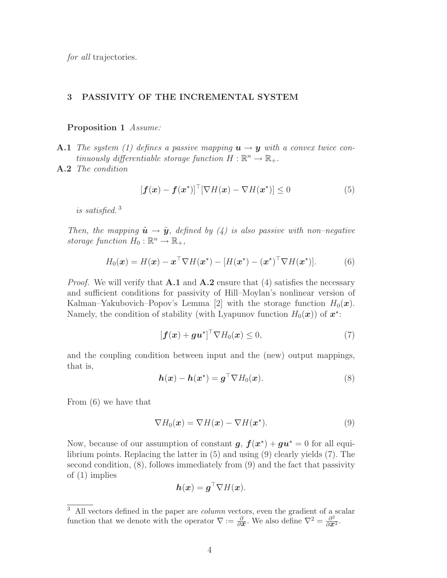for all trajectories.

#### 3 PASSIVITY OF THE INCREMENTAL SYSTEM

#### Proposition 1 Assume:

- **A.1** The system (1) defines a passive mapping  $u \rightarrow y$  with a convex twice continuously differentiable storage function  $H: \mathbb{R}^n \to \mathbb{R}_+$ .
- A.2 The condition

$$
[\mathbf{f}(\mathbf{x}) - \mathbf{f}(\mathbf{x}^*)]^\top [\nabla H(\mathbf{x}) - \nabla H(\mathbf{x}^*)] \le 0 \tag{5}
$$

is satisfied. <sup>3</sup>

Then, the mapping  $\tilde{u} \rightarrow \tilde{y}$ , defined by (4) is also passive with non–negative storage function  $H_0: \mathbb{R}^n \to \mathbb{R}_+,$ 

$$
H_0(\boldsymbol{x}) = H(\boldsymbol{x}) - \boldsymbol{x}^\top \nabla H(\boldsymbol{x}^\star) - [H(\boldsymbol{x}^\star) - (\boldsymbol{x}^\star)^\top \nabla H(\boldsymbol{x}^\star)].
$$
 (6)

*Proof.* We will verify that  $\mathbf{A}.\mathbf{1}$  and  $\mathbf{A}.\mathbf{2}$  ensure that (4) satisfies the necessary and sufficient conditions for passivity of Hill–Moylan's nonlinear version of Kalman–Yakubovich–Popov's Lemma [2] with the storage function  $H_0(\boldsymbol{x})$ . Namely, the condition of stability (with Lyapunov function  $H_0(\boldsymbol{x})$ ) of  $\boldsymbol{x}^*$ :

$$
[\boldsymbol{f}(\boldsymbol{x}) + \boldsymbol{g}\boldsymbol{u}^{\star}]^{\top} \nabla H_0(\boldsymbol{x}) \leq 0, \tag{7}
$$

and the coupling condition between input and the (new) output mappings, that is,

$$
h(\boldsymbol{x}) - h(\boldsymbol{x}^*) = \boldsymbol{g}^\top \nabla H_0(\boldsymbol{x}). \tag{8}
$$

From (6) we have that

$$
\nabla H_0(\boldsymbol{x}) = \nabla H(\boldsymbol{x}) - \nabla H(\boldsymbol{x}^\star). \tag{9}
$$

Now, because of our assumption of constant  $g, f(x^*) + gu^* = 0$  for all equilibrium points. Replacing the latter in (5) and using (9) clearly yields (7). The second condition, (8), follows immediately from (9) and the fact that passivity of (1) implies

$$
\boldsymbol{h}(\boldsymbol{x}) = \boldsymbol{g}^\top \nabla H(\boldsymbol{x}).
$$

<sup>&</sup>lt;sup>3</sup> All vectors defined in the paper are *column* vectors, even the gradient of a scalar function that we denote with the operator  $\nabla := \frac{\partial}{\partial x}$ . We also define  $\nabla^2 = \frac{\partial^2}{\partial x^2}$ .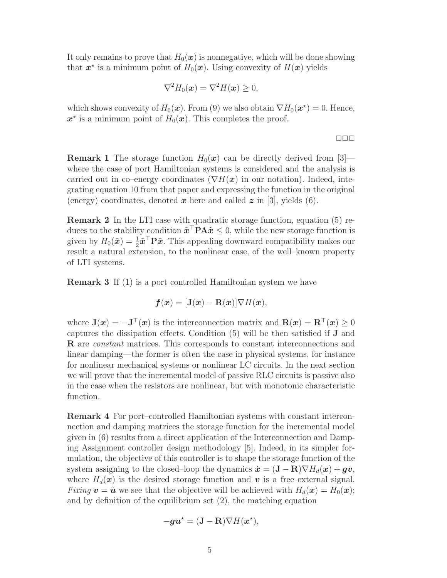It only remains to prove that  $H_0(x)$  is nonnegative, which will be done showing that  $x^*$  is a minimum point of  $H_0(x)$ . Using convexity of  $H(x)$  yields

$$
\nabla^2 H_0(\boldsymbol{x}) = \nabla^2 H(\boldsymbol{x}) \geq 0,
$$

which shows convexity of  $H_0(\boldsymbol{x})$ . From (9) we also obtain  $\nabla H_0(\boldsymbol{x}^*) = 0$ . Hence,  $x^*$  is a minimum point of  $H_0(x)$ . This completes the proof.

✷✷✷

**Remark 1** The storage function  $H_0(x)$  can be directly derived from [3] where the case of port Hamiltonian systems is considered and the analysis is carried out in co–energy coordinates ( $\nabla H(\boldsymbol{x})$  in our notation). Indeed, integrating equation 10 from that paper and expressing the function in the original (energy) coordinates, denoted  $\boldsymbol{x}$  here and called  $\boldsymbol{z}$  in [3], yields (6).

Remark 2 In the LTI case with quadratic storage function, equation (5) reduces to the stability condition  $\tilde{x}^\top \mathbf{P} A \tilde{x} \leq 0$ , while the new storage function is given by  $H_0(\tilde{\bm{x}}) = \frac{1}{2}\tilde{\bm{x}}^\top \mathbf{P} \tilde{\bm{x}}$ . This appealing downward compatibility makes our result a natural extension, to the nonlinear case, of the well–known property of LTI systems.

**Remark 3** If (1) is a port controlled Hamiltonian system we have

$$
\boldsymbol{f}(\boldsymbol{x}) = [\mathbf{J}(\boldsymbol{x}) - \mathbf{R}(\boldsymbol{x})] \nabla H(\boldsymbol{x}),
$$

where  $\mathbf{J}(\boldsymbol{x}) = -\mathbf{J}^\top(\boldsymbol{x})$  is the interconnection matrix and  $\mathbf{R}(\boldsymbol{x}) = \mathbf{R}^\top(\boldsymbol{x}) \geq 0$ captures the dissipation effects. Condition (5) will be then satisfied if J and R are constant matrices. This corresponds to constant interconnections and linear damping—the former is often the case in physical systems, for instance for nonlinear mechanical systems or nonlinear LC circuits. In the next section we will prove that the incremental model of passive RLC circuits is passive also in the case when the resistors are nonlinear, but with monotonic characteristic function.

Remark 4 For port–controlled Hamiltonian systems with constant interconnection and damping matrices the storage function for the incremental model given in (6) results from a direct application of the Interconnection and Damping Assignment controller design methodology [5]. Indeed, in its simpler formulation, the objective of this controller is to shape the storage function of the system assigning to the closed–loop the dynamics  $\dot{\mathbf{x}} = (\mathbf{J} - \mathbf{R}) \nabla H_d(\mathbf{x}) + \boldsymbol{g} \boldsymbol{v}$ , where  $H_d(\boldsymbol{x})$  is the desired storage function and  $\boldsymbol{v}$  is a free external signal. Fixing  $\mathbf{v} = \tilde{\mathbf{u}}$  we see that the objective will be achieved with  $H_d(\mathbf{x}) = H_0(\mathbf{x});$ and by definition of the equilibrium set (2), the matching equation

$$
-\boldsymbol{g}\boldsymbol{u}^* = (\mathbf{J}-\mathbf{R})\nabla H(\boldsymbol{x}^*),
$$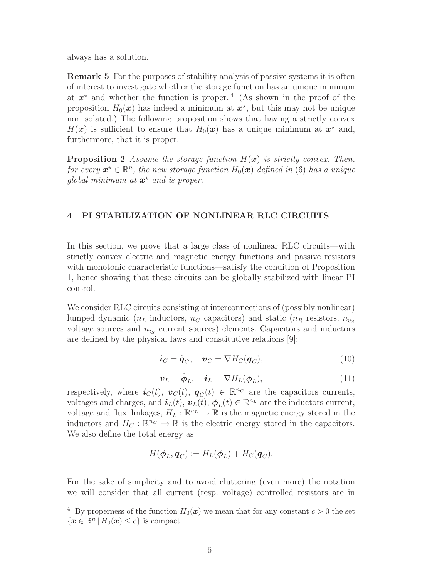always has a solution.

Remark 5 For the purposes of stability analysis of passive systems it is often of interest to investigate whether the storage function has an unique minimum at  $x^*$  and whether the function is proper.<sup>4</sup> (As shown in the proof of the proposition  $H_0(\boldsymbol{x})$  has indeed a minimum at  $\boldsymbol{x}^*$ , but this may not be unique nor isolated.) The following proposition shows that having a strictly convex  $H(\boldsymbol{x})$  is sufficient to ensure that  $H_0(\boldsymbol{x})$  has a unique minimum at  $\boldsymbol{x}^*$  and, furthermore, that it is proper.

**Proposition 2** Assume the storage function  $H(x)$  is strictly convex. Then, for every  $\boldsymbol{x}^\star \in \mathbb{R}^n$ , the new storage function  $H_0(\boldsymbol{x})$  defined in (6) has a unique global minimum at  $x^*$  and is proper.

## 4 PI STABILIZATION OF NONLINEAR RLC CIRCUITS

In this section, we prove that a large class of nonlinear RLC circuits—with strictly convex electric and magnetic energy functions and passive resistors with monotonic characteristic functions—satisfy the condition of Proposition 1, hence showing that these circuits can be globally stabilized with linear PI control.

We consider RLC circuits consisting of interconnections of (possibly nonlinear) lumped dynamic ( $n<sub>L</sub>$  inductors,  $n<sub>C</sub>$  capacitors) and static ( $n<sub>R</sub>$  resistors,  $n<sub>v<sub>S</sub></sub>$ voltage sources and  $n_{is}$  current sources) elements. Capacitors and inductors are defined by the physical laws and constitutive relations [9]:

$$
\dot{i}_C = \dot{q}_C, \quad v_C = \nabla H_C(q_C), \tag{10}
$$

$$
\boldsymbol{v}_L = \dot{\boldsymbol{\phi}}_L, \quad \boldsymbol{i}_L = \nabla H_L(\boldsymbol{\phi}_L), \tag{11}
$$

respectively, where  $\boldsymbol{i}_{C}(t), \boldsymbol{v}_{C}(t), \boldsymbol{q}_{C}(t) \in \mathbb{R}^{n_{C}}$  are the capacitors currents, voltages and charges, and  $\boldsymbol{i}_L(t)$ ,  $\boldsymbol{v}_L(t)$ ,  $\boldsymbol{\phi}_L(t) \in \mathbb{R}^{n_L}$  are the inductors current, voltage and flux-linkages,  $H_L : \mathbb{R}^{n_L} \to \mathbb{R}$  is the magnetic energy stored in the inductors and  $H_C : \mathbb{R}^{n_C} \to \mathbb{R}$  is the electric energy stored in the capacitors. We also define the total energy as

$$
H(\boldsymbol{\phi}_L, \boldsymbol{q}_C) := H_L(\boldsymbol{\phi}_L) + H_C(\boldsymbol{q}_C).
$$

For the sake of simplicity and to avoid cluttering (even more) the notation we will consider that all current (resp. voltage) controlled resistors are in

<sup>&</sup>lt;sup>4</sup> By properness of the function  $H_0(x)$  we mean that for any constant  $c > 0$  the set  $\{x \in \mathbb{R}^n \mid H_0(x) \leq c\}$  is compact.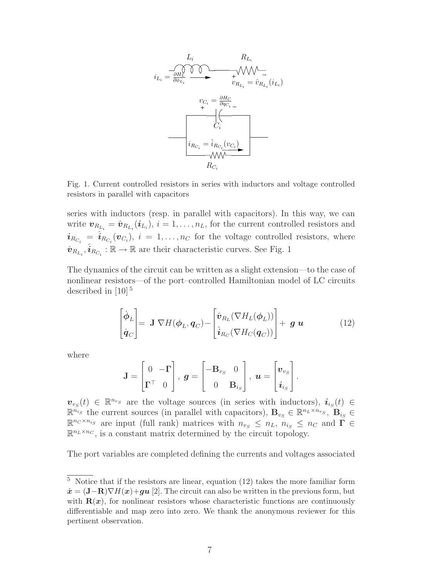

Fig. 1. Current controlled resistors in series with inductors and voltage controlled resistors in parallel with capacitors

series with inductors (resp. in parallel with capacitors). In this way, we can write  $\boldsymbol{v}_{R_{L_i}} = \hat{\boldsymbol{v}}_{R_{L_i}}(\boldsymbol{i}_{L_i}), i = 1, \ldots, n_L$ , for the current controlled resistors and  $i_{R_{C_i}} = \hat{i}_{R_{C_i}}(v_{C_i}), i = 1, \ldots, n_C$  for the voltage controlled resistors, where  $\hat{\bm{v}}_{R_{L_i}}, \hat{\bm{i}}_{R_{C_i}} : \mathbb{R} \to \mathbb{R}$  are their characteristic curves. See Fig. 1

The dynamics of the circuit can be written as a slight extension—to the case of nonlinear resistors—of the port–controlled Hamiltonian model of LC circuits described in  $[10]$ <sup>5</sup>

$$
\begin{bmatrix} \dot{\boldsymbol{\phi}}_L \\ \dot{\boldsymbol{q}}_C \end{bmatrix} = \mathbf{J} \nabla H(\boldsymbol{\phi}_L, \boldsymbol{q}_C) - \begin{bmatrix} \hat{\boldsymbol{v}}_{R_L}(\nabla H_L(\boldsymbol{\phi}_L)) \\ \hat{\boldsymbol{i}}_{R_C}(\nabla H_C(\boldsymbol{q}_C)) \end{bmatrix} + \boldsymbol{g} \boldsymbol{u} \tag{12}
$$

where

$$
\mathbf{J} = \begin{bmatrix} 0 & -\mathbf{\Gamma} \\ \mathbf{\Gamma}^{\top} & 0 \end{bmatrix}, \ \boldsymbol{g} = \begin{bmatrix} -\mathbf{B}_{v_S} & 0 \\ 0 & \mathbf{B}_{i_S} \end{bmatrix}, \ \boldsymbol{u} = \begin{bmatrix} \boldsymbol{v}_{v_S} \\ \boldsymbol{i}_{i_S} \end{bmatrix}.
$$

 $\mathbf{v}_{v_S}(t) \in \mathbb{R}^{n_{v_S}}$  are the voltage sources (in series with inductors),  $i_{i_S}(t) \in$  $\mathbb{R}^{n_{is}}$  the current sources (in parallel with capacitors),  $\mathbf{B}_{v_S} \in \mathbb{R}^{n_L \times n_{v_S}}, \mathbf{B}_{i_S} \in$  $\mathbb{R}^{n_c \times n_{i_S}}$  are input (full rank) matrices with  $n_{v_S} \leq n_L$ ,  $n_{i_S} \leq n_C$  and  $\tilde{\Gamma} \in$  $\mathbb{R}^{n_L \times n_C}$ , is a constant matrix determined by the circuit topology.

The port variables are completed defining the currents and voltages associated

 $\frac{5}{5}$  Notice that if the resistors are linear, equation (12) takes the more familiar form  $\dot{\boldsymbol{x}} = (\mathbf{J}-\mathbf{R})\nabla H(\boldsymbol{x}) + \boldsymbol{g}\boldsymbol{u}$  [2]. The circuit can also be written in the previous form, but with  $R(x)$ , for nonlinear resistors whose characteristic functions are continuously differentiable and map zero into zero. We thank the anonymous reviewer for this pertinent observation.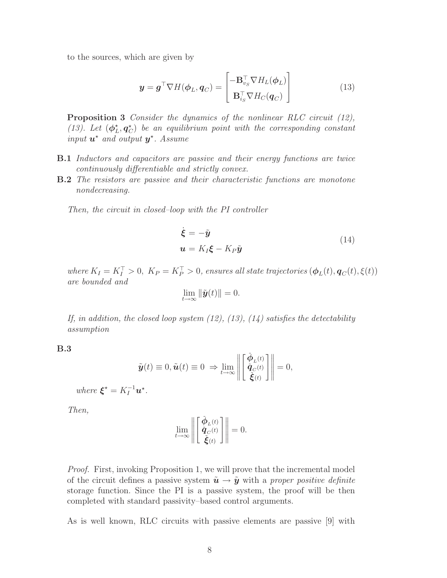to the sources, which are given by

$$
\mathbf{y} = \mathbf{g}^{\top} \nabla H(\boldsymbol{\phi}_L, \mathbf{q}_C) = \begin{bmatrix} -\mathbf{B}_{v_S}^{\top} \nabla H_L(\boldsymbol{\phi}_L) \\ \mathbf{B}_{i_S}^{\top} \nabla H_C(\mathbf{q}_C) \end{bmatrix}
$$
(13)

Proposition 3 Consider the dynamics of the nonlinear RLC circuit (12), (13). Let  $(\phi_I^*$  $\hat{L}_L^{\star}, \boldsymbol{q}_C^{\star}$ ) be an equilibrium point with the corresponding constant input  $\boldsymbol{u}^*$  and output  $\boldsymbol{y}^*$ . Assume

- **B.1** Inductors and capacitors are passive and their energy functions are twice continuously differentiable and strictly convex.
- **B.2** The resistors are passive and their characteristic functions are monotone nondecreasing.

Then, the circuit in closed–loop with the PI controller

$$
\dot{\xi} = -\tilde{y}
$$
  

$$
u = K_I \xi - K_P \tilde{y}
$$
 (14)

where  $K_I = K_I^{\top} > 0$ ,  $K_P = K_P^{\top} > 0$ , ensures all state trajectories  $(\phi_L(t), \mathbf{q}_C(t), \xi(t))$ are bounded and

$$
\lim_{t\to\infty}\|\tilde{\boldsymbol{y}}(t)\|=0.
$$

If, in addition, the closed loop system  $(12)$ ,  $(13)$ ,  $(14)$  satisfies the detectability assumption

B.3

$$
\tilde{\boldsymbol{y}}(t) \equiv 0, \tilde{\boldsymbol{u}}(t) \equiv 0 \ \Rightarrow \lim_{t \to \infty} \left\| \begin{bmatrix} \tilde{\boldsymbol{\phi}}_{L}(t) \\ \tilde{\boldsymbol{q}}_{C}(t) \\ \tilde{\boldsymbol{\xi}}(t) \end{bmatrix} \right\| = 0,
$$

where  $\boldsymbol{\xi}^* = K_I^{-1} \boldsymbol{u}^*$ .

Then,

$$
\lim_{t \to \infty} \left\| \begin{bmatrix} \tilde{\boldsymbol{\phi}}_{L}(t) \\ \tilde{\boldsymbol{q}}_{C}(t) \\ \tilde{\boldsymbol{\xi}}(t) \end{bmatrix} \right\| = 0.
$$

Proof. First, invoking Proposition 1, we will prove that the incremental model of the circuit defines a passive system  $\tilde{u} \rightarrow \tilde{y}$  with a proper positive definite storage function. Since the PI is a passive system, the proof will be then completed with standard passivity–based control arguments.

As is well known, RLC circuits with passive elements are passive [9] with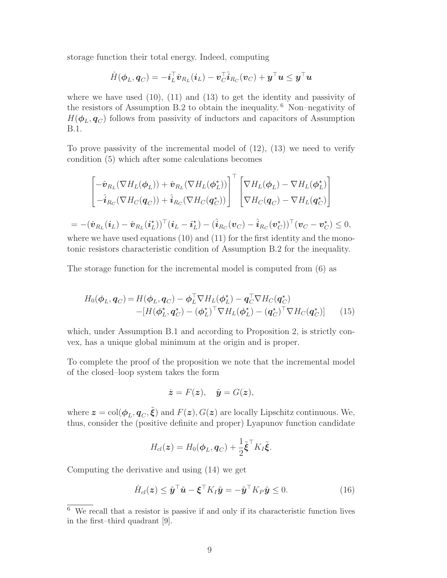storage function their total energy. Indeed, computing

$$
\dot{H}(\boldsymbol{\phi}_L,\boldsymbol{q}_C)=-\boldsymbol{i}_L^\top\hat{\boldsymbol{v}}_{R_L}(\boldsymbol{i}_L)-\boldsymbol{v}_C^\top\hat{\boldsymbol{i}}_{R_C}(\boldsymbol{v}_C)+\boldsymbol{y}^\top\boldsymbol{u}\leq\boldsymbol{y}^\top\boldsymbol{u}
$$

where we have used  $(10)$ ,  $(11)$  and  $(13)$  to get the identity and passivity of the resistors of Assumption B.2 to obtain the inequality.  $6$  Non–negativity of  $H(\boldsymbol{\phi}_L, \boldsymbol{q}_C)$  follows from passivity of inductors and capacitors of Assumption B.1.

To prove passivity of the incremental model of  $(12)$ ,  $(13)$  we need to verify condition (5) which after some calculations becomes

$$
\begin{bmatrix}\n-\hat{\mathbf{v}}_{R_L}(\nabla H_L(\boldsymbol{\phi}_L)) + \hat{\mathbf{v}}_{R_L}(\nabla H_L(\boldsymbol{\phi}_L^*))\n\end{bmatrix}^\top\n\begin{bmatrix}\n\nabla H_L(\boldsymbol{\phi}_L) - \nabla H_L(\boldsymbol{\phi}_L^*)\n\end{bmatrix}
$$
\n
$$
= -(\hat{\mathbf{v}}_{R_L}(\mathbf{v}) - \hat{\mathbf{v}}_{R_L}(\mathbf{v}) - \hat{\mathbf{v}}_{R_L}(\mathbf{v})\n\end{bmatrix}^\top\n\begin{bmatrix}\n\nabla H_L(\boldsymbol{\phi}_L) - \nabla H_L(\boldsymbol{\phi}_L^*)\n\end{bmatrix}
$$
\n
$$
= -(\hat{\mathbf{v}}_{R_L}(\mathbf{i}_L) - \hat{\mathbf{v}}_{R_L}(\mathbf{i}_L^*))^\top(\mathbf{i}_L - \mathbf{i}_L^*) - (\hat{\mathbf{i}}_{R_C}(\mathbf{v}_C) - \hat{\mathbf{i}}_{R_C}(\mathbf{v}_C^*))^\top(\mathbf{v}_C - \mathbf{v}_C^*) \leq 0,
$$

where we have used equations  $(10)$  and  $(11)$  for the first identity and the monotonic resistors characteristic condition of Assumption B.2 for the inequality.

The storage function for the incremental model is computed from (6) as

$$
H_0(\boldsymbol{\phi}_L, \boldsymbol{q}_C) = H(\boldsymbol{\phi}_L, \boldsymbol{q}_C) - \boldsymbol{\phi}_L^\top \nabla H_L(\boldsymbol{\phi}_L^*) - \boldsymbol{q}_C^\top \nabla H_C(\boldsymbol{q}_C^*)
$$
  
- 
$$
[H(\boldsymbol{\phi}_L^*, \boldsymbol{q}_C^*) - (\boldsymbol{\phi}_L^*)^\top \nabla H_L(\boldsymbol{\phi}_L^*) - (\boldsymbol{q}_C^*)^\top \nabla H_C(\boldsymbol{q}_C^*)] \qquad (15)
$$

which, under Assumption B.1 and according to Proposition 2, is strictly convex, has a unique global minimum at the origin and is proper.

To complete the proof of the proposition we note that the incremental model of the closed–loop system takes the form

$$
\dot{\boldsymbol{z}} = F(\boldsymbol{z}), \quad \tilde{\boldsymbol{y}} = G(\boldsymbol{z}),
$$

where  $\bm{z} = \text{col}(\bm{\phi}_L, \bm{q}_C, \tilde{\bm{\xi}})$  and  $F(\bm{z}), G(\bm{z})$  are locally Lipschitz continuous. We, thus, consider the (positive definite and proper) Lyapunov function candidate

$$
H_{cl}(\boldsymbol{z}) = H_0(\boldsymbol{\phi}_L, \boldsymbol{q}_C) + \frac{1}{2}\tilde{\boldsymbol{\xi}}^\top K_I \tilde{\boldsymbol{\xi}}.
$$

Computing the derivative and using (14) we get

$$
\dot{H}_{cl}(z) \le \tilde{y}^\top \tilde{u} - \xi^\top K_I \tilde{y} = -\tilde{y}^\top K_P \tilde{y} \le 0.
$$
 (16)

 $\overline{6}$  We recall that a resistor is passive if and only if its characteristic function lives in the first–third quadrant [9].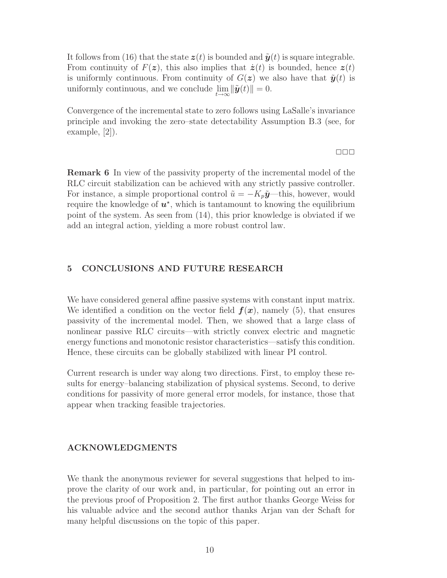It follows from (16) that the state  $z(t)$  is bounded and  $\tilde{y}(t)$  is square integrable. From continuity of  $F(z)$ , this also implies that  $\dot{z}(t)$  is bounded, hence  $z(t)$ is uniformly continuous. From continuity of  $G(z)$  we also have that  $\tilde{\mathbf{y}}(t)$  is uniformly continuous, and we conclude  $\lim_{t\to\infty} \|\tilde{\boldsymbol{y}}(t)\| = 0.$ 

Convergence of the incremental state to zero follows using LaSalle's invariance principle and invoking the zero–state detectability Assumption B.3 (see, for example, [2]).

✷✷✷

Remark 6 In view of the passivity property of the incremental model of the RLC circuit stabilization can be achieved with any strictly passive controller. For instance, a simple proportional control  $\tilde{u} = -K_p\tilde{y}$ —this, however, would require the knowledge of  $u^*$ , which is tantamount to knowing the equilibrium point of the system. As seen from (14), this prior knowledge is obviated if we add an integral action, yielding a more robust control law.

## 5 CONCLUSIONS AND FUTURE RESEARCH

We have considered general affine passive systems with constant input matrix. We identified a condition on the vector field  $f(x)$ , namely (5), that ensures passivity of the incremental model. Then, we showed that a large class of nonlinear passive RLC circuits—with strictly convex electric and magnetic energy functions and monotonic resistor characteristics—satisfy this condition. Hence, these circuits can be globally stabilized with linear PI control.

Current research is under way along two directions. First, to employ these results for energy–balancing stabilization of physical systems. Second, to derive conditions for passivity of more general error models, for instance, those that appear when tracking feasible trajectories.

## ACKNOWLEDGMENTS

We thank the anonymous reviewer for several suggestions that helped to improve the clarity of our work and, in particular, for pointing out an error in the previous proof of Proposition 2. The first author thanks George Weiss for his valuable advice and the second author thanks Arjan van der Schaft for many helpful discussions on the topic of this paper.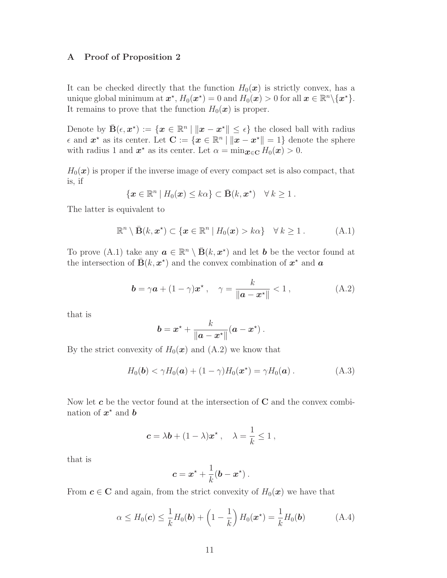## A Proof of Proposition 2

It can be checked directly that the function  $H_0(x)$  is strictly convex, has a unique global minimum at  $\boldsymbol{x}^\star$ ,  $H_0(\boldsymbol{x}^\star) = 0$  and  $H_0(\boldsymbol{x}) > 0$  for all  $\boldsymbol{x} \in \mathbb{R}^n \backslash \{\boldsymbol{x}^\star\}.$ It remains to prove that the function  $H_0(\boldsymbol{x})$  is proper.

Denote by  $\bar{\mathbf{B}}(\epsilon, x^*) := \{x \in \mathbb{R}^n \mid ||x - x^*|| \leq \epsilon\}$  the closed ball with radius  $\epsilon$  and  $\boldsymbol{x}^{\star}$  as its center. Let  $\mathbf{C} := \{ \boldsymbol{x} \in \mathbb{R}^n \mid ||\boldsymbol{x} - \boldsymbol{x}^{\star}|| = 1 \}$  denote the sphere with radius 1 and  $x^*$  as its center. Let  $\alpha = \min_{x \in \mathbf{C}} H_0(x) > 0$ .

 $H_0(x)$  is proper if the inverse image of every compact set is also compact, that is, if

$$
\{ \boldsymbol{x} \in \mathbb{R}^n \mid H_0(\boldsymbol{x}) \leq k\alpha \} \subset \bar{\mathbf{B}}(k, \boldsymbol{x}^*) \quad \forall \, k \geq 1 \, .
$$

The latter is equivalent to

$$
\mathbb{R}^n \setminus \bar{\mathbf{B}}(k, \mathbf{x}^*) \subset \{ \mathbf{x} \in \mathbb{R}^n \mid H_0(\mathbf{x}) > k\alpha \} \quad \forall \, k \ge 1 \,.
$$
 (A.1)

To prove (A.1) take any  $a \in \mathbb{R}^n \setminus \overline{B}(k, x^*)$  and let **b** be the vector found at the intersection of  $\bar{\mathbf{B}}(k, x^*)$  and the convex combination of  $x^*$  and  $\boldsymbol{a}$ 

$$
\mathbf{b} = \gamma \mathbf{a} + (1 - \gamma) \mathbf{x}^{\star}, \quad \gamma = \frac{k}{\|\mathbf{a} - \mathbf{x}^{\star}\|} < 1 \,, \tag{A.2}
$$

that is

$$
\boldsymbol{b} = \boldsymbol{x}^{\star} + \frac{k}{\|\boldsymbol{a} - \boldsymbol{x}^{\star}\|}(\boldsymbol{a} - \boldsymbol{x}^{\star}).
$$

By the strict convexity of  $H_0(\boldsymbol{x})$  and  $(A.2)$  we know that

$$
H_0(\boldsymbol{b}) < \gamma H_0(\boldsymbol{a}) + (1 - \gamma) H_0(\boldsymbol{x}^*) = \gamma H_0(\boldsymbol{a}) . \tag{A.3}
$$

Now let  $c$  be the vector found at the intersection of  $C$  and the convex combination of  $x^*$  and **b** 

$$
\mathbf{c} = \lambda \mathbf{b} + (1 - \lambda) \mathbf{x}^{\star} , \quad \lambda = \frac{1}{k} \le 1 ,
$$

that is

$$
\boldsymbol{c} = \boldsymbol{x}^{\star} + \frac{1}{k}(\boldsymbol{b} - \boldsymbol{x}^{\star}).
$$

From  $c \in \mathbb{C}$  and again, from the strict convexity of  $H_0(x)$  we have that

$$
\alpha \le H_0(\boldsymbol{c}) \le \frac{1}{k} H_0(\boldsymbol{b}) + \left(1 - \frac{1}{k}\right) H_0(\boldsymbol{x}^\star) = \frac{1}{k} H_0(\boldsymbol{b}) \tag{A.4}
$$